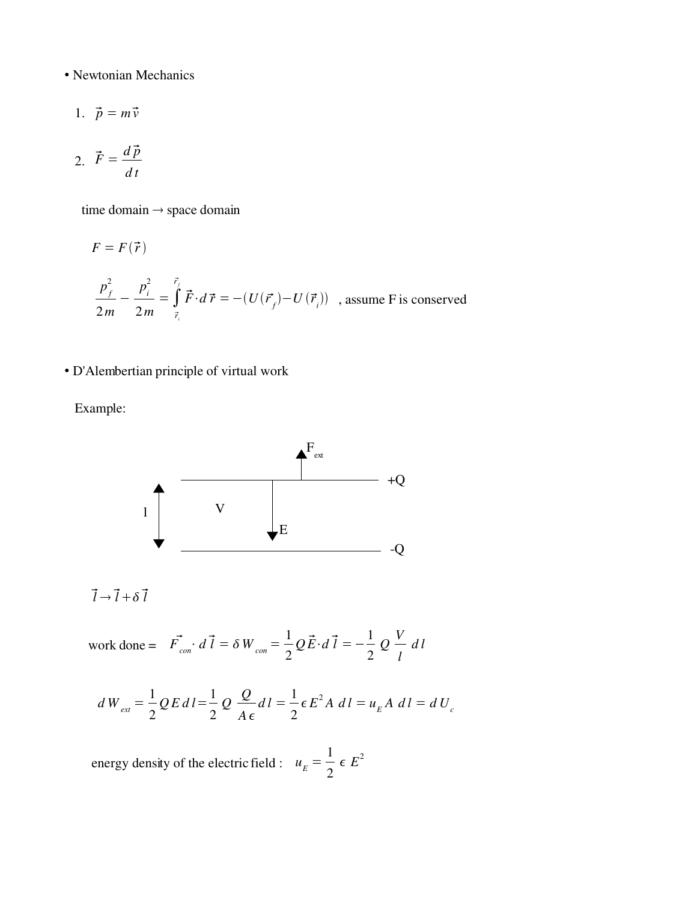## • Newtonian Mechanics

1.  $\vec{p} = m\vec{v}$ 

$$
2. \quad \vec{F} = \frac{d\vec{p}}{dt}
$$

time domain  $\rightarrow$  space domain

$$
F = F(\vec{r})
$$
  

$$
\frac{p_f^2}{2m} - \frac{p_i^2}{2m} = \int_{\vec{r}_i}^{\vec{r}} \vec{F} \cdot d\vec{r} = -(U(\vec{r}_f) - U(\vec{r}_i))
$$
, assume F is conserved

• D'Alembertian principle of virtual work

Example:



$$
\vec{l} \rightarrow \vec{l} + \delta \vec{l}
$$

work done = 
$$
\vec{F}_{con}
$$
 ·  $d\vec{l} = \delta W_{con} = \frac{1}{2}Q\vec{E} \cdot d\vec{l} = -\frac{1}{2}Q\frac{V}{l}dl$ 

$$
dW_{ext} = \frac{1}{2} Q E d l = \frac{1}{2} Q \frac{Q}{A \epsilon} dl = \frac{1}{2} \epsilon E^{2} A dl = u_{E} A dl = d U_{c}
$$

energy density of the electric field :  $u_E =$ 1 2  $\epsilon E^2$